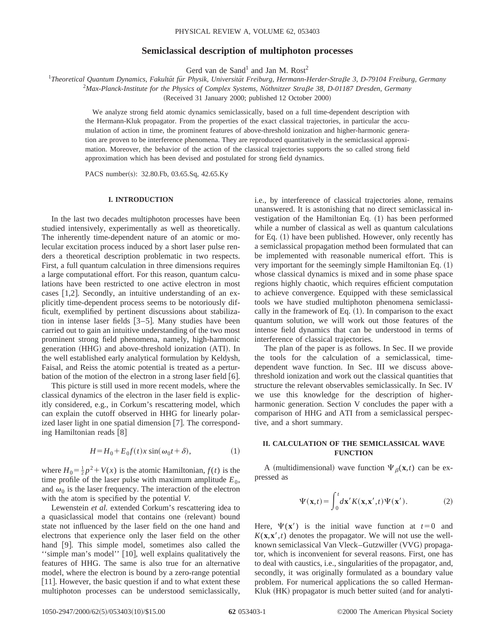# **Semiclassical description of multiphoton processes**

Gerd van de Sand<sup>1</sup> and Jan M. Rost<sup>2</sup>

<sup>1</sup>Theoretical Quantum Dynamics, Fakultät für Physik, Universität Freiburg, Hermann-Herder-Straße 3, D-79104 Freiburg, Germany

<sup>2</sup>Max-Planck-Institute for the Physics of Complex Systems, Nöthnitzer Straße 38, D-01187 Dresden, Germany

(Received 31 January 2000; published 12 October 2000)

We analyze strong field atomic dynamics semiclassically, based on a full time-dependent description with the Hermann-Kluk propagator. From the properties of the exact classical trajectories, in particular the accumulation of action in time, the prominent features of above-threshold ionization and higher-harmonic generation are proven to be interference phenomena. They are reproduced quantitatively in the semiclassical approximation. Moreover, the behavior of the action of the classical trajectories supports the so called strong field approximation which has been devised and postulated for strong field dynamics.

PACS number(s): 32.80.Fb, 03.65.Sq, 42.65.Ky

# **I. INTRODUCTION**

In the last two decades multiphoton processes have been studied intensively, experimentally as well as theoretically. The inherently time-dependent nature of an atomic or molecular excitation process induced by a short laser pulse renders a theoretical description problematic in two respects. First, a full quantum calculation in three dimensions requires a large computational effort. For this reason, quantum calculations have been restricted to one active electron in most cases  $[1,2]$ . Secondly, an intuitive understanding of an explicitly time-dependent process seems to be notoriously difficult, exemplified by pertinent discussions about stabilization in intense laser fields  $[3-5]$ . Many studies have been carried out to gain an intuitive understanding of the two most prominent strong field phenomena, namely, high-harmonic generation (HHG) and above-threshold ionization (ATI). In the well established early analytical formulation by Keldysh, Faisal, and Reiss the atomic potential is treated as a perturbation of the motion of the electron in a strong laser field  $[6]$ .

This picture is still used in more recent models, where the classical dynamics of the electron in the laser field is explicitly considered, e.g., in Corkum's rescattering model, which can explain the cutoff observed in HHG for linearly polarized laser light in one spatial dimension  $[7]$ . The corresponding Hamiltonian reads  $[8]$ 

$$
H = H_0 + E_0 f(t) x \sin(\omega_0 t + \delta), \tag{1}
$$

where  $H_0 = \frac{1}{2}p^2 + V(x)$  is the atomic Hamiltonian,  $f(t)$  is the time profile of the laser pulse with maximum amplitude  $E_0$ , and  $\omega_0$  is the laser frequency. The interaction of the electron with the atom is specified by the potential *V*.

Lewenstein *et al.* extended Corkum's rescattering idea to a quasiclassical model that contains one (relevant) bound state not influenced by the laser field on the one hand and electrons that experience only the laser field on the other hand  $[9]$ . This simple model, sometimes also called the "simple man's model" [10], well explains qualitatively the features of HHG. The same is also true for an alternative model, where the electron is bound by a zero-range potential  $[11]$ . However, the basic question if and to what extent these multiphoton processes can be understood semiclassically, i.e., by interference of classical trajectories alone, remains unanswered. It is astonishing that no direct semiclassical investigation of the Hamiltonian Eq.  $(1)$  has been performed while a number of classical as well as quantum calculations for Eq.  $(1)$  have been published. However, only recently has a semiclassical propagation method been formulated that can be implemented with reasonable numerical effort. This is very important for the seemingly simple Hamiltonian Eq.  $(1)$ whose classical dynamics is mixed and in some phase space regions highly chaotic, which requires efficient computation to achieve convergence. Equipped with these semiclassical tools we have studied multiphoton phenomena semiclassically in the framework of Eq.  $(1)$ . In comparison to the exact quantum solution, we will work out those features of the intense field dynamics that can be understood in terms of interference of classical trajectories.

The plan of the paper is as follows. In Sec. II we provide the tools for the calculation of a semiclassical, timedependent wave function. In Sec. III we discuss abovethreshold ionization and work out the classical quantities that structure the relevant observables semiclassically. In Sec. IV we use this knowledge for the description of higherharmonic generation. Section V concludes the paper with a comparison of HHG and ATI from a semiclassical perspective, and a short summary.

# **II. CALCULATION OF THE SEMICLASSICAL WAVE FUNCTION**

A (multidimensional) wave function  $\Psi_{\beta}(\mathbf{x},t)$  can be expressed as

$$
\Psi(\mathbf{x},t) = \int_0^t d\mathbf{x}' K(\mathbf{x}, \mathbf{x}',t) \Psi(\mathbf{x}'). \tag{2}
$$

Here,  $\Psi(\mathbf{x}')$  is the initial wave function at  $t=0$  and  $K(\mathbf{x}, \mathbf{x}', t)$  denotes the propagator. We will not use the wellknown semiclassical Van Vleck–Gutzwiller (VVG) propagator, which is inconvenient for several reasons. First, one has to deal with caustics, i.e., singularities of the propagator, and, secondly, it was originally formulated as a boundary value problem. For numerical applications the so called Herman-Kluk (HK) propagator is much better suited (and for analyti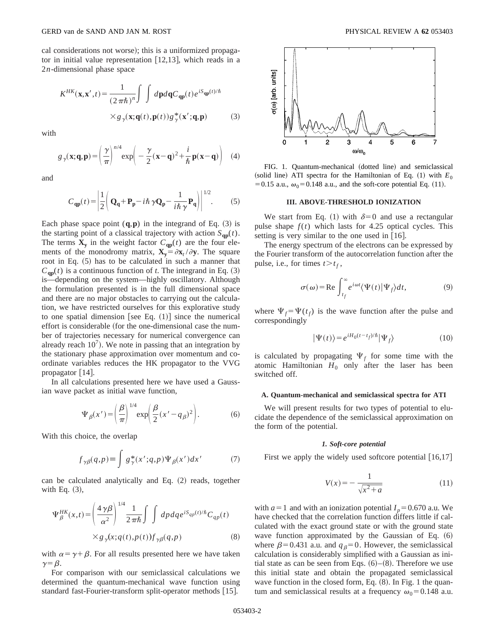cal considerations not worse); this is a uniformized propagator in initial value representation  $[12,13]$ , which reads in a 2*n*-dimensional phase space

$$
K^{HK}(\mathbf{x}, \mathbf{x}', t) = \frac{1}{(2\pi\hbar)^n} \int \int d\mathbf{p} d\mathbf{q} C_{\mathbf{qp}}(t) e^{iS_{\mathbf{qp}}(t)/\hbar}
$$
  
 
$$
\times g_{\gamma}(\mathbf{x}; \mathbf{q}(t), \mathbf{p}(t)) g_{\gamma}^*(\mathbf{x}'; \mathbf{q}, \mathbf{p})
$$
 (3)

with

$$
g_{\gamma}(\mathbf{x}; \mathbf{q}, \mathbf{p}) = \left(\frac{\gamma}{\pi}\right)^{n/4} \exp\left(-\frac{\gamma}{2}(\mathbf{x} - \mathbf{q})^2 + \frac{i}{\hbar} \mathbf{p}(\mathbf{x} - \mathbf{q})\right) \quad (4)
$$

and

$$
C_{\mathbf{qp}}(t) = \left| \frac{1}{2} \left( \mathbf{Q}_{\mathbf{q}} + \mathbf{P}_{\mathbf{p}} - i\hbar \gamma \mathbf{Q}_{\mathbf{p}} - \frac{1}{i\hbar \gamma} \mathbf{P}_{\mathbf{q}} \right) \right|^{1/2}.
$$
 (5)

Each phase space point  $(q, p)$  in the integrand of Eq.  $(3)$  is the starting point of a classical trajectory with action  $S_{qp}(t)$ . The terms  $X_y$  in the weight factor  $C_{qp}(t)$  are the four elements of the monodromy matrix,  $\mathbf{X}_y = \partial \mathbf{x}_t / \partial \mathbf{y}$ . The square root in Eq.  $(5)$  has to be calculated in such a manner that  $C_{\text{qp}}(t)$  is a continuous function of *t*. The integrand in Eq. (3) is—depending on the system—highly oscillatory. Although the formulation presented is in the full dimensional space and there are no major obstacles to carrying out the calculation, we have restricted ourselves for this explorative study to one spatial dimension [see Eq.  $(1)$ ] since the numerical effort is considerable (for the one-dimensional case the number of trajectories necessary for numerical convergence can already reach  $10<sup>7</sup>$ ). We note in passing that an integration by the stationary phase approximation over momentum and coordinate variables reduces the HK propagator to the VVG propagator  $[14]$ .

In all calculations presented here we have used a Gaussian wave packet as initial wave function,

$$
\Psi_{\beta}(x') = \left(\frac{\beta}{\pi}\right)^{1/4} \exp\left(\frac{\beta}{2}(x'-q_{\beta})^2\right). \tag{6}
$$

With this choice, the overlap

$$
f_{\gamma\beta}(q,p) \equiv \int g_{\gamma}^*(x';q,p) \Psi_{\beta}(x') dx' \tag{7}
$$

can be calculated analytically and Eq. (2) reads, together with Eq.  $(3)$ ,

$$
\Psi_{\beta}^{HK}(x,t) = \left(\frac{4\,\gamma\beta}{\alpha^2}\right)^{1/4} \frac{1}{2\,\pi\hbar} \int \int dp \,dq \,e^{iS_{qp}(t)/\hbar} C_{qp}(t)
$$

$$
\times g_{\gamma}(x;q(t),p(t)) f_{\gamma\beta}(q,p) \tag{8}
$$

with  $\alpha = \gamma + \beta$ . For all results presented here we have taken  $\gamma = \beta$ .

For comparison with our semiclassical calculations we determined the quantum-mechanical wave function using standard fast-Fourier-transform split-operator methods [15].



FIG. 1. Quantum-mechanical (dotted line) and semiclassical (solid line) ATI spectra for the Hamiltonian of Eq.  $(1)$  with  $E_0$ = 0.15 a.u.,  $\omega_0$ = 0.148 a.u., and the soft-core potential Eq. (11).

#### **III. ABOVE-THRESHOLD IONIZATION**

We start from Eq. (1) with  $\delta=0$  and use a rectangular pulse shape  $f(t)$  which lasts for 4.25 optical cycles. This setting is very similar to the one used in  $[16]$ .

The energy spectrum of the electrons can be expressed by the Fourier transform of the autocorrelation function after the pulse, i.e., for times  $t > t_f$ ,

$$
\sigma(\omega) = \text{Re}\int_{t_f}^{\infty} e^{i\omega t} \langle \Psi(t) | \Psi_f \rangle dt, \tag{9}
$$

where  $\Psi_f = \Psi(t_f)$  is the wave function after the pulse and correspondingly

$$
|\Psi(t)\rangle = e^{iH_0(t-t_f)/\hbar}|\Psi_f\rangle \tag{10}
$$

is calculated by propagating  $\Psi_f$  for some time with the atomic Hamiltonian  $H_0$  only after the laser has been switched off.

## **A. Quantum-mechanical and semiclassical spectra for ATI**

We will present results for two types of potential to elucidate the dependence of the semiclassical approximation on the form of the potential.

### *1. Soft-core potential*

First we apply the widely used softcore potential  $\lfloor 16,17 \rfloor$ 

$$
V(x) = -\frac{1}{\sqrt{x^2 + a}}
$$
 (11)

with  $a=1$  and with an ionization potential  $I_p = 0.670$  a.u. We have checked that the correlation function differs little if calculated with the exact ground state or with the ground state wave function approximated by the Gaussian of Eq.  $(6)$ where  $\beta$ =0.431 a.u. and  $q<sub>\beta</sub>$ =0. However, the semiclassical calculation is considerably simplified with a Gaussian as initial state as can be seen from Eqs.  $(6)$ – $(8)$ . Therefore we use this initial state and obtain the propagated semiclassical wave function in the closed form, Eq.  $(8)$ . In Fig. 1 the quantum and semiclassical results at a frequency  $\omega_0 = 0.148$  a.u.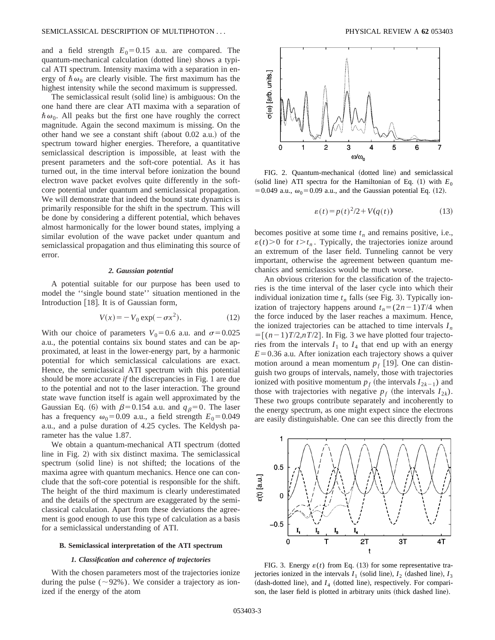and a field strength  $E_0=0.15$  a.u. are compared. The quantum-mechanical calculation (dotted line) shows a typical ATI spectrum. Intensity maxima with a separation in energy of  $\hbar \omega_0$  are clearly visible. The first maximum has the highest intensity while the second maximum is suppressed.

The semiclassical result (solid line) is ambiguous: On the one hand there are clear ATI maxima with a separation of  $\hbar\omega_0$ . All peaks but the first one have roughly the correct magnitude. Again the second maximum is missing. On the other hand we see a constant shift (about  $0.02$  a.u.) of the spectrum toward higher energies. Therefore, a quantitative semiclassical description is impossible, at least with the present parameters and the soft-core potential. As it has turned out, in the time interval before ionization the bound electron wave packet evolves quite differently in the softcore potential under quantum and semiclassical propagation. We will demonstrate that indeed the bound state dynamics is primarily responsible for the shift in the spectrum. This will be done by considering a different potential, which behaves almost harmonically for the lower bound states, implying a similar evolution of the wave packet under quantum and semiclassical propagation and thus eliminating this source of error.

## *2. Gaussian potential*

A potential suitable for our purpose has been used to model the ''single bound state'' situation mentioned in the Introduction  $[18]$ . It is of Gaussian form,

$$
V(x) = -V_0 \exp(-\sigma x^2). \tag{12}
$$

With our choice of parameters  $V_0=0.6$  a.u. and  $\sigma=0.025$ a.u., the potential contains six bound states and can be approximated, at least in the lower-energy part, by a harmonic potential for which semiclassical calculations are exact. Hence, the semiclassical ATI spectrum with this potential should be more accurate *if* the discrepancies in Fig. 1 are due to the potential and not to the laser interaction. The ground state wave function itself is again well approximated by the Gaussian Eq. (6) with  $\beta$ =0.154 a.u. and  $q_\beta$ =0. The laser has a frequency  $\omega_0 = 0.09$  a.u., a field strength  $E_0 = 0.049$ a.u., and a pulse duration of 4.25 cycles. The Keldysh parameter has the value 1.87.

We obtain a quantum-mechanical ATI spectrum (dotted line in Fig.  $2$ ) with six distinct maxima. The semiclassical spectrum (solid line) is not shifted; the locations of the maxima agree with quantum mechanics. Hence one can conclude that the soft-core potential is responsible for the shift. The height of the third maximum is clearly underestimated and the details of the spectrum are exaggerated by the semiclassical calculation. Apart from these deviations the agreement is good enough to use this type of calculation as a basis for a semiclassical understanding of ATI.

#### **B. Semiclassical interpretation of the ATI spectrum**

### *1. Classification and coherence of trajectories*

With the chosen parameters most of the trajectories ionize during the pulse ( $\sim$ 92%). We consider a trajectory as ionized if the energy of the atom



FIG. 2. Quantum-mechanical (dotted line) and semiclassical (solid line) ATI spectra for the Hamiltonian of Eq.  $(1)$  with  $E_0$ = 0.049 a.u.,  $\omega_0$ = 0.09 a.u., and the Gaussian potential Eq. (12).

$$
\varepsilon(t) = p(t)^2/2 + V(q(t))\tag{13}
$$

becomes positive at some time  $t_n$  and remains positive, i.e.,  $\varepsilon(t)$ >0 for  $t > t_n$ . Typically, the trajectories ionize around an extremum of the laser field. Tunneling cannot be very important, otherwise the agreement between quantum mechanics and semiclassics would be much worse.

An obvious criterion for the classification of the trajectories is the time interval of the laser cycle into which their individual ionization time  $t_n$  falls (see Fig. 3). Typically ionization of trajectory happens around  $t_n = (2n-1)T/4$  when the force induced by the laser reaches a maximum. Hence, the ionized trajectories can be attached to time intervals *In*  $= [(n-1)T/2, nT/2]$ . In Fig. 3 we have plotted four trajectories from the intervals  $I_1$  to  $I_4$  that end up with an energy  $E=0.36$  a.u. After ionization each trajectory shows a quiver motion around a mean momentum  $p_f$  [19]. One can distinguish two groups of intervals, namely, those with trajectories ionized with positive momentum  $p_f$  (the intervals  $I_{2k-1}$ ) and those with trajectories with negative  $p_f$  (the intervals  $I_{2k}$ ). These two groups contribute separately and incoherently to the energy spectrum, as one might expect since the electrons are easily distinguishable. One can see this directly from the



FIG. 3. Energy  $\varepsilon(t)$  from Eq. (13) for some representative trajectories ionized in the intervals  $I_1$  (solid line),  $I_2$  (dashed line),  $I_3$  $(dash-dotted line)$ , and  $I_4$  (dotted line), respectively. For comparison, the laser field is plotted in arbitrary units (thick dashed line).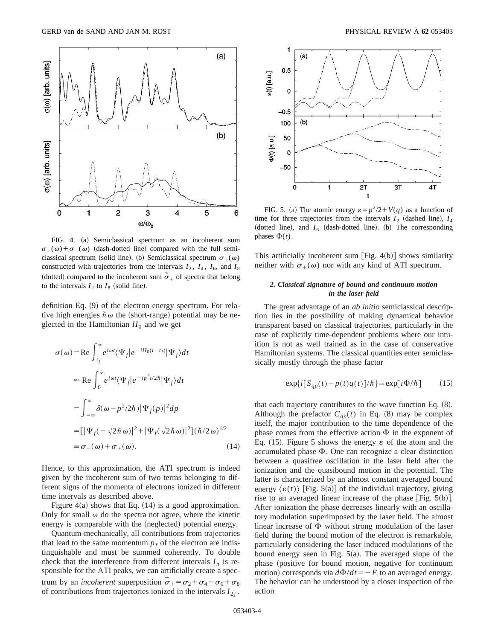

FIG. 4. (a) Semiclassical spectrum as an incoherent sum  $\sigma_+(\omega) + \sigma_-(\omega)$  (dash-dotted line) compared with the full semiclassical spectrum (solid line). (b) Semiclassical spectrum  $\sigma_+(\omega)$ constructed with trajectories from the intervals  $I_2$ ,  $I_4$ ,  $I_6$ , and  $I_8$ (dotted) compared to the incoherent sum  $\tilde{\sigma}_+$  of spectra that belong to the intervals  $I_2$  to  $I_8$  (solid line).

definition Eq.  $(9)$  of the electron energy spectrum. For relative high energies  $\hbar \omega$  the (short-range) potential may be neglected in the Hamiltonian  $H_0$  and we get

$$
\sigma(\omega) = \text{Re} \int_{t_f}^{\infty} e^{i\omega t} \langle \Psi_f | e^{-iH_0(t - t_f)} | \Psi_f \rangle dt
$$
  
\n
$$
\approx \text{Re} \int_0^{\infty} e^{i\omega t} \langle \Psi_f | e^{-ip^2 t/2\hbar} | \Psi_f \rangle dt
$$
  
\n
$$
= \int_{-\infty}^{\infty} \delta(\omega - p^2/2\hbar) | \Psi_f(p) |^2 dp
$$
  
\n
$$
= [|\Psi_f(-\sqrt{2\hbar \omega})|^2 + |\Psi_f(\sqrt{2\hbar \omega})|^2] (\hbar/2\omega)^{1/2}
$$
  
\n
$$
\equiv \sigma_{-}(\omega) + \sigma_{+}(\omega). \tag{14}
$$

Hence, to this approximation, the ATI spectrum is indeed given by the incoherent sum of two terms belonging to different signs of the momenta of electrons ionized in different time intervals as described above.

Figure 4(a) shows that Eq.  $(14)$  is a good approximation. Only for small  $\omega$  do the spectra not agree, where the kinetic energy is comparable with the (neglected) potential energy.

Quantum-mechanically, all contributions from trajectories that lead to the same momentum  $p_f$  of the electron are indistinguishable and must be summed coherently. To double check that the interference from different intervals  $I_n$  is responsible for the ATI peaks, we can artificially create a spectrum by an *incoherent* superposition  $\tilde{\sigma}_+ = \sigma_2 + \sigma_4 + \sigma_6 + \sigma_8$ of contributions from trajectories ionized in the intervals  $I_{2i}$ .



FIG. 5. (a) The atomic energy  $\varepsilon = p^2/2 + V(q)$  as a function of time for three trajectories from the intervals  $I_2$  (dashed line),  $I_4$ (dotted line), and  $I_6$  (dash-dotted line). (b) The corresponding phases  $\Phi(t)$ .

This artificially incoherent sum [Fig.  $4(b)$ ] shows similarity neither with  $\sigma_+(\omega)$  nor with any kind of ATI spectrum.

# *2. Classical signature of bound and continuum motion in the laser field*

The great advantage of an *ab initio* semiclassical description lies in the possibility of making dynamical behavior transparent based on classical trajectories, particularly in the case of explicitly time-dependent problems where our intuition is not as well trained as in the case of conservative Hamiltonian systems. The classical quantities enter semiclassically mostly through the phase factor

$$
\exp\{i[S_{qp}(t) - p(t)q(t)]/\hbar\} \equiv \exp[i\Phi/\hbar] \tag{15}
$$

that each trajectory contributes to the wave function Eq.  $(8)$ . Although the prefactor  $C_{qp}(t)$  in Eq. (8) may be complex itself, the major contribution to the time dependence of the phase comes from the effective action  $\Phi$  in the exponent of Eq. (15). Figure 5 shows the energy  $\varepsilon$  of the atom and the accumulated phase  $\Phi$ . One can recognize a clear distinction between a quasifree oscillation in the laser field after the ionization and the quasibound motion in the potential. The latter is characterized by an almost constant averaged bound energy  $\langle \varepsilon(t) \rangle$  [Fig. 5(a)] of the individual trajectory, giving rise to an averaged linear increase of the phase  $[Fig. 5(b)].$ After ionization the phase decreases linearly with an oscillatory modulation superimposed by the laser field. The almost linear increase of  $\Phi$  without strong modulation of the laser field during the bound motion of the electron is remarkable, particularly considering the laser induced modulations of the bound energy seen in Fig.  $5(a)$ . The averaged slope of the phase (positive for bound motion, negative for continuum motion) corresponds via  $d\Phi/dt = -E$  to an averaged energy. The behavior can be understood by a closer inspection of the action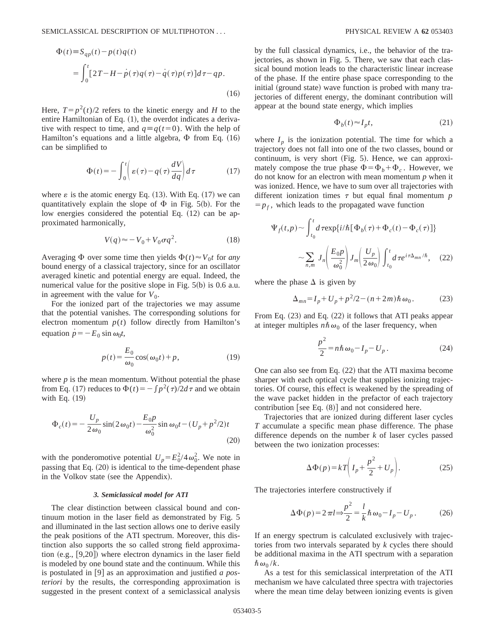$$
\Phi(t) \equiv S_{qp}(t) - p(t)q(t)
$$
\n
$$
= \int_0^t [2T - H - p(\tau)q(\tau) - q(\tau)p(\tau)]d\tau - qp.
$$
\n(16)

Here,  $T = p^2(t)/2$  refers to the kinetic energy and *H* to the entire Hamiltonian of Eq.  $(1)$ , the overdot indicates a derivative with respect to time, and  $q \equiv q(t=0)$ . With the help of Hamilton's equations and a little algebra,  $\Phi$  from Eq. (16) can be simplified to

$$
\Phi(t) = -\int_0^t \left( \varepsilon(\tau) - q(\tau) \frac{dV}{dq} \right) d\tau \tag{17}
$$

where  $\varepsilon$  is the atomic energy Eq. (13). With Eq. (17) we can quantitatively explain the slope of  $\Phi$  in Fig. 5(b). For the low energies considered the potential Eq.  $(12)$  can be approximated harmonically,

$$
V(q) \approx -V_0 + V_0 \sigma q^2. \tag{18}
$$

Averaging  $\Phi$  over some time then yields  $\Phi(t) \approx V_0 t$  for *any* bound energy of a classical trajectory, since for an oscillator averaged kinetic and potential energy are equal. Indeed, the numerical value for the positive slope in Fig.  $5(b)$  is 0.6 a.u. in agreement with the value for  $V_0$ .

For the ionized part of the trajectories we may assume that the potential vanishes. The corresponding solutions for electron momentum  $p(t)$  follow directly from Hamilton's equation  $\dot{p} = -E_0 \sin \omega_0 t$ ,

$$
p(t) = \frac{E_0}{\omega_0} \cos(\omega_0 t) + p,\tag{19}
$$

where  $p$  is the mean momentum. Without potential the phase from Eq. (17) reduces to  $\Phi(t) = -\int p^2(\tau)/2d\tau$  and we obtain with Eq.  $(19)$ 

$$
\Phi_c(t) = -\frac{U_p}{2\omega_0} \sin(2\omega_0 t) - \frac{E_0 p}{\omega_0^2} \sin \omega_0 t - (U_p + p^2/2)t
$$
\n(20)

with the ponderomotive potential  $U_p = E_0^2 / 4 \omega_0^2$ . We note in passing that Eq.  $(20)$  is identical to the time-dependent phase in the Volkov state (see the Appendix).

## *3. Semiclassical model for ATI*

The clear distinction between classical bound and continuum motion in the laser field as demonstrated by Fig. 5 and illuminated in the last section allows one to derive easily the peak positions of the ATI spectrum. Moreover, this distinction also supports the so called strong field approximation  $(e.g., [9,20])$  where electron dynamics in the laser field is modeled by one bound state and the continuum. While this is postulated in [9] as an approximation and justified *a posteriori* by the results, the corresponding approximation is suggested in the present context of a semiclassical analysis by the full classical dynamics, i.e., the behavior of the trajectories, as shown in Fig. 5. There, we saw that each classical bound motion leads to the characteristic linear increase of the phase. If the entire phase space corresponding to the initial (ground state) wave function is probed with many trajectories of different energy, the dominant contribution will appear at the bound state energy, which implies

$$
\Phi_b(t) \approx I_p t,\tag{21}
$$

where  $I_p$  is the ionization potential. The time for which a trajectory does not fall into one of the two classes, bound or continuum, is very short  $(Fig. 5)$ . Hence, we can approximately compose the true phase  $\Phi = \Phi_h + \Phi_c$ . However, we do not know for an electron with mean momentum *p* when it was ionized. Hence, we have to sum over all trajectories with different ionization times  $\tau$  but equal final momentum  $p$  $=p_f$ , which leads to the propagated wave function

$$
\Psi_f(t,p) \sim \int_{t_0}^t d\,\tau \exp\{i/\hbar [\Phi_b(\tau) + \Phi_c(t) - \Phi_c(\tau)]\}
$$

$$
\sim \sum_{n,m} J_n \left(\frac{E_0 p}{\omega_0^2}\right) J_m \left(\frac{U_p}{2\,\omega_0}\right) \int_{t_0}^t d\,\tau e^{i\tau \Delta_{mn}/\hbar}, \quad (22)
$$

where the phase  $\Delta$  is given by

$$
\Delta_{mn} = I_p + U_p + p^2/2 - (n+2m)\hbar \omega_0.
$$
 (23)

From Eq.  $(23)$  and Eq.  $(22)$  it follows that ATI peaks appear at integer multiples  $n\hbar\omega_0$  of the laser frequency, when

$$
\frac{p^2}{2} = n\hbar\,\omega_0 - I_p - U_p. \tag{24}
$$

One can also see from Eq.  $(22)$  that the ATI maxima become sharper with each optical cycle that supplies ionizing trajectories. Of course, this effect is weakened by the spreading of the wave packet hidden in the prefactor of each trajectory contribution [see Eq.  $(8)$ ] and not considered here.

Trajectories that are ionized during different laser cycles *T* accumulate a specific mean phase difference. The phase difference depends on the number *k* of laser cycles passed between the two ionization processes:

$$
\Delta \Phi(p) = kT \bigg( I_p + \frac{p^2}{2} + U_p \bigg). \tag{25}
$$

The trajectories interfere constructively if

$$
\Delta \Phi(p) = 2 \pi l \Rightarrow \frac{p^2}{2} = \frac{l}{k} \hbar \omega_0 - I_p - U_p. \tag{26}
$$

If an energy spectrum is calculated exclusively with trajectories from two intervals separated by *k* cycles there should be additional maxima in the ATI spectrum with a separation  $\hbar \omega_0 / k$ .

As a test for this semiclassical interpretation of the ATI mechanism we have calculated three spectra with trajectories where the mean time delay between ionizing events is given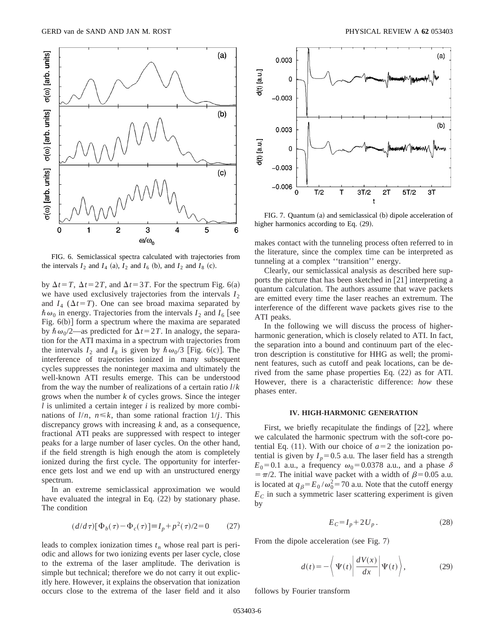

FIG. 6. Semiclassical spectra calculated with trajectories from the intervals  $I_2$  and  $I_4$  (a),  $I_2$  and  $I_6$  (b), and  $I_2$  and  $I_8$  (c).

by  $\Delta t = T$ ,  $\Delta t = 2T$ , and  $\Delta t = 3T$ . For the spectrum Fig. 6(a) we have used exclusively trajectories from the intervals  $I_2$ and  $I_4$  ( $\Delta t = T$ ). One can see broad maxima separated by  $\hbar \omega_0$  in energy. Trajectories from the intervals  $I_2$  and  $I_6$  [see Fig.  $6(b)$ ] form a spectrum where the maxima are separated by  $\hbar \omega_0/2$ —as predicted for  $\Delta t = 2T$ . In analogy, the separation for the ATI maxima in a spectrum with trajectories from the intervals  $I_2$  and  $I_8$  is given by  $\hbar \omega_0/3$  [Fig. 6(c)]. The interference of trajectories ionized in many subsequent cycles suppresses the noninteger maxima and ultimately the well-known ATI results emerge. This can be understood from the way the number of realizations of a certain ratio *l*/*k* grows when the number *k* of cycles grows. Since the integer *l* is unlimited a certain integer *i* is realized by more combinations of  $l/n$ ,  $n \le k$ , than some rational fraction  $1/j$ . This discrepancy grows with increasing *k* and, as a consequence, fractional ATI peaks are suppressed with respect to integer peaks for a large number of laser cycles. On the other hand, if the field strength is high enough the atom is completely ionized during the first cycle. The opportunity for interference gets lost and we end up with an unstructured energy spectrum.

In an extreme semiclassical approximation we would have evaluated the integral in Eq.  $(22)$  by stationary phase. The condition

$$
(d/d\tau)[\Phi_b(\tau) - \Phi_c(\tau)] \equiv I_p + p^2(\tau)/2 = 0 \tag{27}
$$

leads to complex ionization times  $t_n$  whose real part is periodic and allows for two ionizing events per laser cycle, close to the extrema of the laser amplitude. The derivation is simple but technical; therefore we do not carry it out explicitly here. However, it explains the observation that ionization occurs close to the extrema of the laser field and it also



FIG. 7. Quantum (a) and semiclassical (b) dipole acceleration of higher harmonics according to Eq.  $(29)$ .

makes contact with the tunneling process often referred to in the literature, since the complex time can be interpreted as tunneling at a complex ''transition'' energy.

Clearly, our semiclassical analysis as described here supports the picture that has been sketched in  $[21]$  interpreting a quantum calculation. The authors assume that wave packets are emitted every time the laser reaches an extremum. The interference of the different wave packets gives rise to the ATI peaks.

In the following we will discuss the process of higherharmonic generation, which is closely related to ATI. In fact, the separation into a bound and continuum part of the electron description is constitutive for HHG as well; the prominent features, such as cutoff and peak locations, can be derived from the same phase properties Eq.  $(22)$  as for ATI. However, there is a characteristic difference: *how* these phases enter.

#### **IV. HIGH-HARMONIC GENERATION**

First, we briefly recapitulate the findings of  $[22]$ , where we calculated the harmonic spectrum with the soft-core potential Eq. (11). With our choice of  $a=2$  the ionization potential is given by  $I_p = 0.5$  a.u. The laser field has a strength  $E_0$ =0.1 a.u., a frequency  $\omega_0$ =0.0378 a.u., and a phase  $\delta$  $= \pi/2$ . The initial wave packet with a width of  $\beta = 0.05$  a.u. is located at  $q_\beta = E_0 / \omega_0^2 = 70$  a.u. Note that the cutoff energy  $E<sub>C</sub>$  in such a symmetric laser scattering experiment is given by

$$
E_C = I_p + 2U_p. \tag{28}
$$

From the dipole acceleration (see Fig.  $7$ )

$$
d(t) = -\left\langle \Psi(t) \left| \frac{dV(x)}{dx} \right| \Psi(t) \right\rangle, \tag{29}
$$

follows by Fourier transform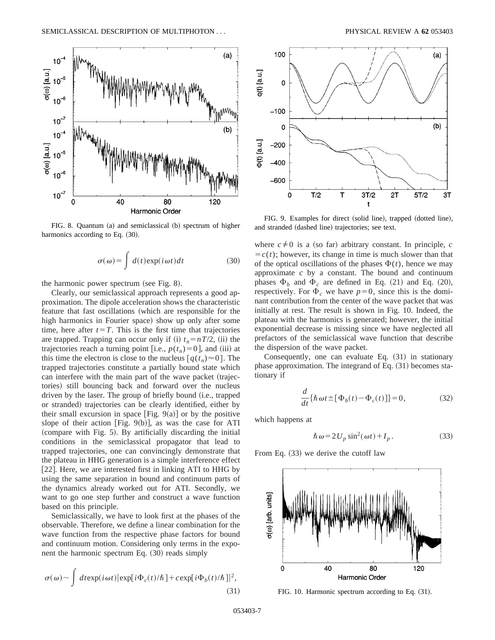

FIG. 8. Quantum (a) and semiclassical (b) spectrum of higher harmonics according to Eq.  $(30)$ .

$$
\sigma(\omega) = \int d(t) \exp(i\omega t) dt \qquad (30)
$$

the harmonic power spectrum (see Fig.  $8$ ).

Clearly, our semiclassical approach represents a good approximation. The dipole acceleration shows the characteristic feature that fast oscillations (which are responsible for the high harmonics in Fourier space) show up only after some time, here after  $t=T$ . This is the first time that trajectories are trapped. Trapping can occur only if (i)  $t_n = nT/2$ , (ii) the trajectories reach a turning point [i.e.,  $p(t_n)=0$ ], and (iii) at this time the electron is close to the nucleus  $q(t_n) \approx 0$ . The trapped trajectories constitute a partially bound state which can interfere with the main part of the wave packet (trajectories) still bouncing back and forward over the nucleus driven by the laser. The group of briefly bound (i.e., trapped or stranded) trajectories can be clearly identified, either by their small excursion in space [Fig.  $9(a)$ ] or by the positive slope of their action [Fig. 9(b)], as was the case for ATI  $(compare with Fig. 5)$ . By artificially discarding the initial conditions in the semiclassical propagator that lead to trapped trajectories, one can convincingly demonstrate that the plateau in HHG generation is a simple interference effect [22]. Here, we are interested first in linking ATI to HHG by using the same separation in bound and continuum parts of the dynamics already worked out for ATI. Secondly, we want to go one step further and construct a wave function based on this principle.

Semiclassically, we have to look first at the phases of the observable. Therefore, we define a linear combination for the wave function from the respective phase factors for bound and continuum motion. Considering only terms in the exponent the harmonic spectrum Eq.  $(30)$  reads simply

$$
\sigma(\omega) \sim \int dt \exp(i\omega t) |\exp[i\Phi_c(t)/\hbar] + c \exp[i\Phi_b(t)/\hbar]|^2,
$$
\n(31)



FIG. 9. Examples for direct (solid line), trapped (dotted line), and stranded (dashed line) trajectories; see text.

where  $c \neq 0$  is a (so far) arbitrary constant. In principle, *c*  $\overline{c}(t)$ ; however, its change in time is much slower than that of the optical oscillations of the phases  $\Phi(t)$ , hence we may approximate *c* by a constant. The bound and continuum phases  $\Phi_h$  and  $\Phi_c$  are defined in Eq. (21) and Eq. (20), respectively. For  $\Phi_c$  we have  $p=0$ , since this is the dominant contribution from the center of the wave packet that was initially at rest. The result is shown in Fig. 10. Indeed, the plateau with the harmonics is generated; however, the initial exponential decrease is missing since we have neglected all prefactors of the semiclassical wave function that describe the dispersion of the wave packet.

Consequently, one can evaluate Eq.  $(31)$  in stationary phase approximation. The integrand of Eq.  $(31)$  becomes stationary if

$$
\frac{d}{dt}\{\hbar\omega t \pm [\Phi_b(t) - \Phi_c(t)]\} = 0,\tag{32}
$$

which happens at

$$
\hbar \omega = 2U_p \sin^2(\omega t) + I_p. \tag{33}
$$

From Eq.  $(33)$  we derive the cutoff law



FIG. 10. Harmonic spectrum according to Eq.  $(31)$ .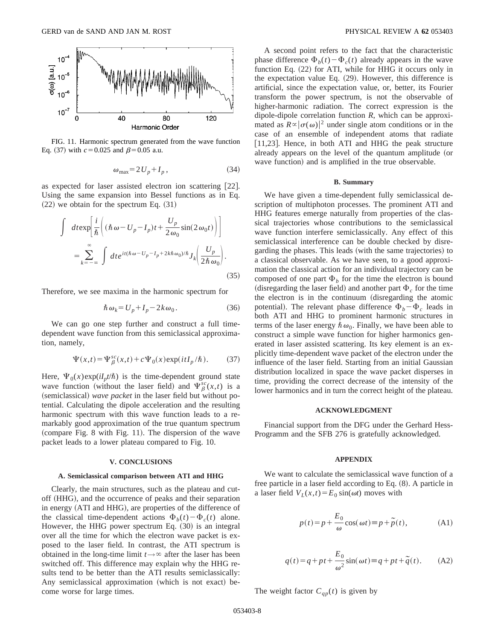

FIG. 11. Harmonic spectrum generated from the wave function Eq. (37) with  $c = 0.025$  and  $\beta = 0.05$  a.u.

$$
\omega_{\text{max}} = 2U_p + I_p, \qquad (34)
$$

as expected for laser assisted electron ion scattering [22]. Using the same expansion into Bessel functions as in Eq.  $(22)$  we obtain for the spectrum Eq.  $(31)$ 

$$
\int dt \exp\left[\frac{i}{\hbar}\left((\hbar\omega - U_p - I_p)t + \frac{U_p}{2\omega_0}\sin(2\omega_0 t)\right)\right]
$$
  
= 
$$
\sum_{k=-\infty}^{\infty} \int dt e^{it(\hbar\omega - U_p - I_p + 2k\hbar\omega_0)/\hbar} J_k\left(\frac{U_p}{2\hbar\omega_0}\right).
$$
 (35)

Therefore, we see maxima in the harmonic spectrum for

$$
\hbar \,\omega_k = U_p + I_p - 2k \,\omega_0. \tag{36}
$$

We can go one step further and construct a full timedependent wave function from this semiclassical approximation, namely,

$$
\Psi(x,t) = \Psi_{\beta}^{sc}(x,t) + c\Psi_0(x) \exp(itI_p/\hbar).
$$
 (37)

Here,  $\Psi_0(x)$ exp( $iI_p t/\hbar$ ) is the time-dependent ground state wave function (without the laser field) and  $\Psi_{\beta}^{sc}(x,t)$  is a (semiclassical) *wave packet* in the laser field but without potential. Calculating the dipole acceleration and the resulting harmonic spectrum with this wave function leads to a remarkably good approximation of the true quantum spectrum  $(compare Fig. 8 with Fig. 11)$ . The dispersion of the wave packet leads to a lower plateau compared to Fig. 10.

#### **V. CONCLUSIONS**

### **A. Semiclassical comparison between ATI and HHG**

Clearly, the main structures, such as the plateau and cutoff (HHG), and the occurrence of peaks and their separation in energy (ATI and HHG), are properties of the difference of the classical time-dependent actions  $\Phi_h(t) - \Phi_c(t)$  alone. However, the HHG power spectrum Eq.  $(30)$  is an integral over all the time for which the electron wave packet is exposed to the laser field. In contrast, the ATI spectrum is obtained in the long-time limit  $t \rightarrow \infty$  after the laser has been switched off. This difference may explain why the HHG results tend to be better than the ATI results semiclassically: Any semiclassical approximation (which is not exact) become worse for large times.

A second point refers to the fact that the characteristic phase difference  $\Phi_h(t) - \Phi_c(t)$  already appears in the wave function Eq.  $(22)$  for ATI, while for HHG it occurs only in the expectation value Eq.  $(29)$ . However, this difference is artificial, since the expectation value, or, better, its Fourier transform the power spectrum, is not the observable of higher-harmonic radiation. The correct expression is the dipole-dipole correlation function *R*, which can be approximated as  $R \propto |\sigma(\omega)|^2$  under single atom conditions or in the case of an ensemble of independent atoms that radiate [11,23]. Hence, in both ATI and HHG the peak structure already appears on the level of the quantum amplitude (or wave function) and is amplified in the true observable.

## **B. Summary**

We have given a time-dependent fully semiclassical description of multiphoton processes. The prominent ATI and HHG features emerge naturally from properties of the classical trajectories whose contributions to the semiclassical wave function interfere semiclassically. Any effect of this semiclassical interference can be double checked by disregarding the phases. This leads (with the same trajectories) to a classical observable. As we have seen, to a good approximation the classical action for an individual trajectory can be composed of one part  $\Phi_h$  for the time the electron is bound (disregarding the laser field) and another part  $\Phi_c$  for the time the electron is in the continuum (disregarding the atomic potential). The relevant phase difference  $\Phi_b - \Phi_c$  leads in both ATI and HHG to prominent harmonic structures in terms of the laser energy  $\hbar \omega_0$ . Finally, we have been able to construct a simple wave function for higher harmonics generated in laser assisted scattering. Its key element is an explicitly time-dependent wave packet of the electron under the influence of the laser field. Starting from an initial Gaussian distribution localized in space the wave packet disperses in time, providing the correct decrease of the intensity of the lower harmonics and in turn the correct height of the plateau.

## **ACKNOWLEDGMENT**

Financial support from the DFG under the Gerhard Hess-Programm and the SFB 276 is gratefully acknowledged.

### **APPENDIX**

We want to calculate the semiclassical wave function of a free particle in a laser field according to Eq.  $(8)$ . A particle in a laser field  $V_L(x,t) = E_0 \sin(\omega t)$  moves with

$$
p(t) = p + \frac{E_0}{\omega} \cos(\omega t) \equiv p + \tilde{p}(t),
$$
 (A1)

$$
q(t) = q + pt + \frac{E_0}{\omega^2} \sin(\omega t) \equiv q + pt + \tilde{q}(t). \tag{A2}
$$

The weight factor  $C_{qp}(t)$  is given by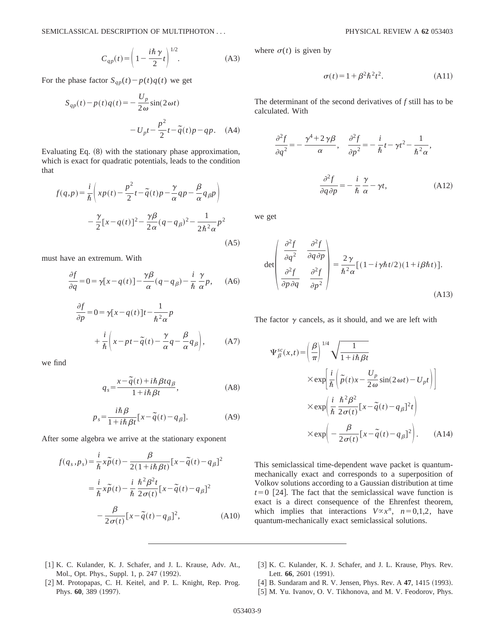$$
C_{qp}(t) = \left(1 - \frac{i\hbar \gamma}{2}t\right)^{1/2}.
$$
 (A3)

For the phase factor  $S_{qp}(t) - p(t)q(t)$  we get

$$
S_{qp}(t) - p(t)q(t) = -\frac{U_p}{2\omega}\sin(2\omega t)
$$

$$
-U_p t - \frac{p^2}{2}t - \tilde{q}(t)p - qp. \quad (A4)
$$

Evaluating Eq.  $(8)$  with the stationary phase approximation, which is exact for quadratic potentials, leads to the condition that

$$
f(q,p) = \frac{i}{\hbar} \left( xp(t) - \frac{p^2}{2}t - \tilde{q}(t)p - \frac{\gamma}{\alpha}qp - \frac{\beta}{\alpha}q_{\beta}p \right)
$$

$$
- \frac{\gamma}{2} [x - q(t)]^2 - \frac{\gamma\beta}{2\alpha}(q - q_{\beta})^2 - \frac{1}{2\hbar^2\alpha}p^2
$$
(A5)

must have an extremum. With

$$
\frac{\partial f}{\partial q} = 0 = \gamma [x - q(t)] - \frac{\gamma \beta}{\alpha} (q - q_\beta) - \frac{i}{\hbar} \frac{\gamma}{\alpha} p, \quad (A6)
$$

$$
\frac{\partial f}{\partial p} = 0 = \gamma [x - q(t)]t - \frac{1}{\hbar^2 \alpha}p
$$

$$
+ \frac{i}{\hbar} \left( x - pt - \tilde{q}(t) - \frac{\gamma}{\alpha}q - \frac{\beta}{\alpha}q_{\beta} \right), \tag{A7}
$$

we find

$$
q_s = \frac{x - \tilde{q}(t) + i\hbar \beta t q_\beta}{1 + i\hbar \beta t},
$$
 (A8)

$$
p_s = \frac{i\hbar\beta}{1 + i\hbar\beta t} [x - \tilde{q}(t) - q_\beta].
$$
 (A9)

After some algebra we arrive at the stationary exponent

$$
f(q_s, p_s) = \frac{i}{\hbar} x \tilde{p}(t) - \frac{\beta}{2(1 + i\hbar \beta t)} [x - \tilde{q}(t) - q_\beta]^2
$$
  

$$
= \frac{i}{\hbar} x \tilde{p}(t) - \frac{i}{\hbar} \frac{\hbar^2 \beta^2 t}{2\sigma(t)} [x - \tilde{q}(t) - q_\beta]^2
$$
  

$$
- \frac{\beta}{2\sigma(t)} [x - \tilde{q}(t) - q_\beta]^2,
$$
 (A10)

where  $\sigma(t)$  is given by

$$
\sigma(t) = 1 + \beta^2 \hbar^2 t^2. \tag{A11}
$$

The determinant of the second derivatives of *f* still has to be calculated. With

$$
\frac{\partial^2 f}{\partial q^2} = -\frac{\gamma^4 + 2\gamma\beta}{\alpha}, \quad \frac{\partial^2 f}{\partial p^2} = -\frac{i}{\hbar}t - \gamma t^2 - \frac{1}{\hbar^2 \alpha},
$$

$$
\frac{\partial^2 f}{\partial q \partial p} = -\frac{i}{\hbar} \frac{\gamma}{\alpha} - \gamma t,
$$
(A12)

we get

$$
\det \begin{pmatrix} \frac{\partial^2 f}{\partial q^2} & \frac{\partial^2 f}{\partial q \partial p} \\ \frac{\partial^2 f}{\partial p \partial q} & \frac{\partial^2 f}{\partial p^2} \end{pmatrix} = \frac{2 \gamma}{\hbar^2 \alpha} [(1 - i \gamma \hbar t/2)(1 + i \beta \hbar t)].
$$
\n(A13)

The factor  $\gamma$  cancels, as it should, and we are left with

$$
\Psi_{\beta}^{sc}(x,t) = \left(\frac{\beta}{\pi}\right)^{1/4} \sqrt{\frac{1}{1 + i\hbar \beta t}}
$$
\n
$$
\times \exp\left[\frac{i}{\hbar} \left(\tilde{p}(t)x - \frac{U_p}{2\omega}\sin(2\omega t) - U_p t\right)\right]
$$
\n
$$
\times \exp\left(\frac{i}{\hbar} \frac{\hbar^2 \beta^2}{2\sigma(t)} [x - \tilde{q}(t) - q_{\beta}]^2 t\right)
$$
\n
$$
\times \exp\left(-\frac{\beta}{2\sigma(t)} [x - \tilde{q}(t) - q_{\beta}]^2\right).
$$
\n(A14)

This semiclassical time-dependent wave packet is quantummechanically exact and corresponds to a superposition of Volkov solutions according to a Gaussian distribution at time  $t=0$  [24]. The fact that the semiclassical wave function is exact is a direct consequence of the Ehrenfest theorem, which implies that interactions  $V \propto x^n$ ,  $n=0,1,2$ , have quantum-mechanically exact semiclassical solutions.

- [1] K. C. Kulander, K. J. Schafer, and J. L. Krause, Adv. At., Mol., Opt. Phys., Suppl. 1, p. 247 (1992).
- [2] M. Protopapas, C. H. Keitel, and P. L. Knight, Rep. Prog. Phys. 60, 389 (1997).
- [3] K. C. Kulander, K. J. Schafer, and J. L. Krause, Phys. Rev. Lett. 66, 2601 (1991).
- [4] B. Sundaram and R. V. Jensen, Phys. Rev. A 47, 1415 (1993).
- [5] M. Yu. Ivanov, O. V. Tikhonova, and M. V. Feodorov, Phys.